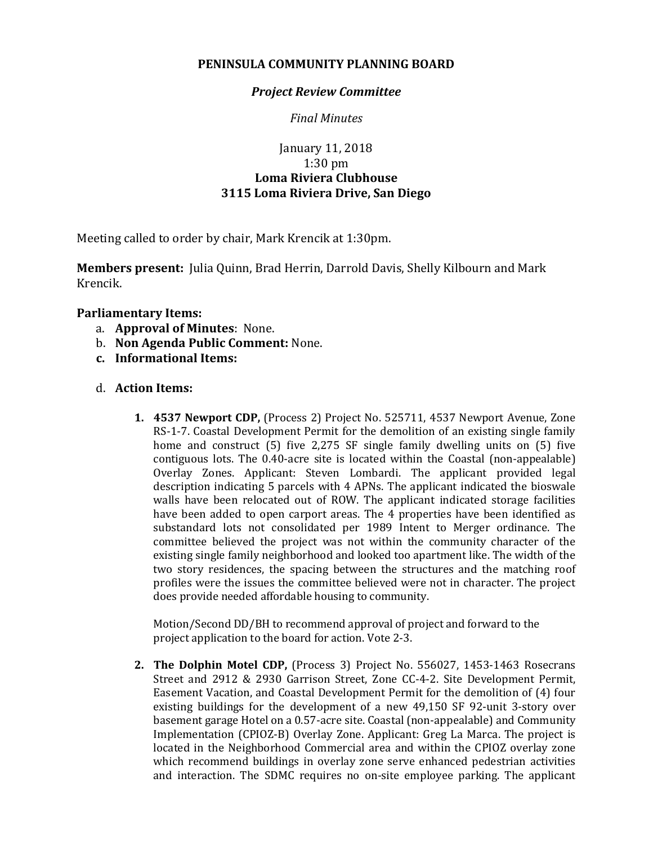## **PENINSULA COMMUNITY PLANNING BOARD**

### *Project Review Committee*

*Final Minutes*

# January 11, 2018 1:30 pm **Loma Riviera Clubhouse 3115 Loma Riviera Drive, San Diego**

Meeting called to order by chair, Mark Krencik at 1:30pm.

**Members present:** Julia Quinn, Brad Herrin, Darrold Davis, Shelly Kilbourn and Mark Krencik.

## **Parliamentary Items:**

- a. **Approval of Minutes**: None.
- b. **Non Agenda Public Comment:** None.
- **c. Informational Items:**

### d. **Action Items:**

**1. 4537 Newport CDP,** (Process 2) Project No. 525711, 4537 Newport Avenue, Zone RS-1-7. Coastal Development Permit for the demolition of an existing single family home and construct (5) five 2,275 SF single family dwelling units on (5) five contiguous lots. The 0.40-acre site is located within the Coastal (non-appealable) Overlay Zones. Applicant: Steven Lombardi. The applicant provided legal description indicating 5 parcels with 4 APNs. The applicant indicated the bioswale walls have been relocated out of ROW. The applicant indicated storage facilities have been added to open carport areas. The 4 properties have been identified as substandard lots not consolidated per 1989 Intent to Merger ordinance. The committee believed the project was not within the community character of the existing single family neighborhood and looked too apartment like. The width of the two story residences, the spacing between the structures and the matching roof profiles were the issues the committee believed were not in character. The project does provide needed affordable housing to community.

Motion/Second DD/BH to recommend approval of project and forward to the project application to the board for action. Vote 2-3.

**2. The Dolphin Motel CDP,** (Process 3) Project No. 556027, 1453-1463 Rosecrans Street and 2912 & 2930 Garrison Street, Zone CC-4-2. Site Development Permit, Easement Vacation, and Coastal Development Permit for the demolition of (4) four existing buildings for the development of a new 49,150 SF 92-unit 3-story over basement garage Hotel on a 0.57-acre site. Coastal (non-appealable) and Community Implementation (CPIOZ-B) Overlay Zone. Applicant: Greg La Marca. The project is located in the Neighborhood Commercial area and within the CPIOZ overlay zone which recommend buildings in overlay zone serve enhanced pedestrian activities and interaction. The SDMC requires no on-site employee parking. The applicant